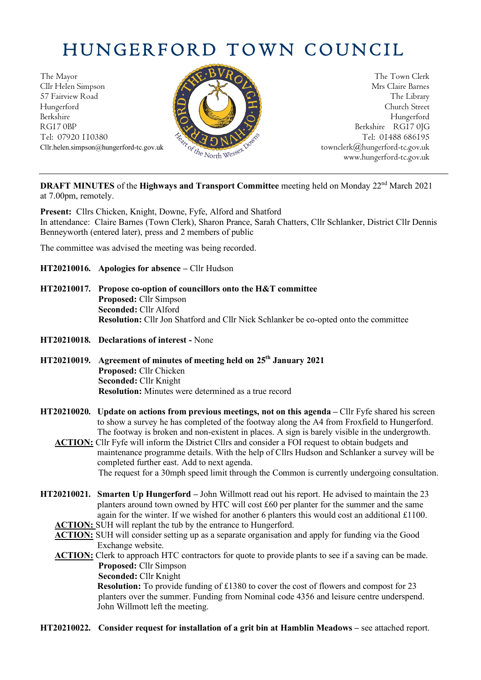# HUNGERFORD TOWN COUNCIL

The Mayor The Town Clerk Cllr Helen Simpson Mrs Claire Barnes 57 Fairview Road The Library (1999) and the Library (1999) and the Library (1999) and the Library (1999) and the Library (1999) and the Library (1999) and the Library (1999) and the Library (1999) and the Library (1999) an Hungerford Church Street Berkshire Hungerford RG17 0BP Berkshire RG17 0JG Tel: 07920 110380  $\frac{1}{2} \sqrt{2} \sqrt{2} N N^2$ 



Cllr.helen.simpson@hungerford-tc.gov.uk [townclerk@hungerford-tc.gov.uk](mailto:townclerk@hungerford-tc.gov.uk) townclerk@hungerford-tc.gov.uk www.hungerford-tc.gov.uk www.hungerford-tc.gov.uk

**DRAFT MINUTES** of the Highways and Transport Committee meeting held on Monday 22<sup>nd</sup> March 2021 at 7.00pm, remotely.

**Present:** Cllrs Chicken, Knight, Downe, Fyfe, Alford and Shatford In attendance: Claire Barnes (Town Clerk), Sharon Prance, Sarah Chatters, Cllr Schlanker, District Cllr Dennis Benneyworth (entered later), press and 2 members of public

The committee was advised the meeting was being recorded.

- **HT20210016. Apologies for absence –** Cllr Hudson
- **HT20210017. Propose co-option of councillors onto the H&T committee Proposed:** Cllr Simpson **Seconded:** Cllr Alford **Resolution:** Cllr Jon Shatford and Cllr Nick Schlanker be co-opted onto the committee
- **HT20210018. Declarations of interest -** None
- **HT20210019. Agreement of minutes of meeting held on 25 th January 2021 Proposed:** Cllr Chicken **Seconded:** Cllr Knight **Resolution:** Minutes were determined as a true record
- **HT20210020. Update on actions from previous meetings, not on this agenda –** Cllr Fyfe shared his screen to show a survey he has completed of the footway along the A4 from Froxfield to Hungerford. The footway is broken and non-existent in places. A sign is barely visible in the undergrowth.
	- **ACTION:** Cllr Fyfe will inform the District Cllrs and consider a FOI request to obtain budgets and maintenance programme details. With the help of Cllrs Hudson and Schlanker a survey will be completed further east. Add to next agenda. The request for a 30mph speed limit through the Common is currently undergoing consultation.
- **HT20210021. Smarten Up Hungerford –** John Willmott read out his report. He advised to maintain the 23 planters around town owned by HTC will cost £60 per planter for the summer and the same again for the winter. If we wished for another 6 planters this would cost an additional £1100.

**ACTION:** SUH will replant the tub by the entrance to Hungerford.

- **ACTION:** SUH will consider setting up as a separate organisation and apply for funding via the Good Exchange website.
- **ACTION:** Clerk to approach HTC contractors for quote to provide plants to see if a saving can be made. **Proposed:** Cllr Simpson

**Seconded:** Cllr Knight

**Resolution:** To provide funding of £1380 to cover the cost of flowers and compost for 23 planters over the summer. Funding from Nominal code 4356 and leisure centre underspend. John Willmott left the meeting.

**HT20210022. Consider request for installation of a grit bin at Hamblin Meadows –** see attached report.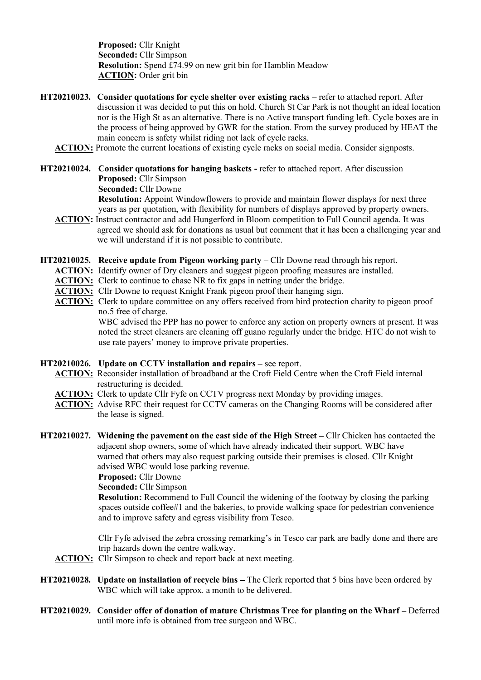**Proposed:** Cllr Knight **Seconded:** Cllr Simpson **Resolution:** Spend £74.99 on new grit bin for Hamblin Meadow **ACTION:** Order grit bin

- **HT20210023. Consider quotations for cycle shelter over existing racks** refer to attached report. After discussion it was decided to put this on hold. Church St Car Park is not thought an ideal location nor is the High St as an alternative. There is no Active transport funding left. Cycle boxes are in the process of being approved by GWR for the station. From the survey produced by HEAT the main concern is safety whilst riding not lack of cycle racks.
	- **ACTION:** Promote the current locations of existing cycle racks on social media. Consider signposts.

#### **HT20210024. Consider quotations for hanging baskets -** refer to attached report. After discussion **Proposed:** Cllr Simpson

**Seconded:** Cllr Downe

**Resolution:** Appoint Windowflowers to provide and maintain flower displays for next three years as per quotation, with flexibility for numbers of displays approved by property owners.

- **ACTION:** Instruct contractor and add Hungerford in Bloom competition to Full Council agenda. It was agreed we should ask for donations as usual but comment that it has been a challenging year and we will understand if it is not possible to contribute.
- **HT20210025. Receive update from Pigeon working party –** Cllr Downe read through his report.
	- **ACTION:** Identify owner of Dry cleaners and suggest pigeon proofing measures are installed.
	- **ACTION:** Clerk to continue to chase NR to fix gaps in netting under the bridge.
	- **ACTION:** Cllr Downe to request Knight Frank pigeon proof their hanging sign.
	- **ACTION:** Clerk to update committee on any offers received from bird protection charity to pigeon proof no.5 free of charge.

WBC advised the PPP has no power to enforce any action on property owners at present. It was noted the street cleaners are cleaning off guano regularly under the bridge. HTC do not wish to use rate payers' money to improve private properties.

- **HT20210026. Update on CCTV installation and repairs –** see report.
	- ACTION: Reconsider installation of broadband at the Croft Field Centre when the Croft Field internal restructuring is decided.
	- **ACTION:** Clerk to update Cllr Fyfe on CCTV progress next Monday by providing images.
	- **ACTION:** Advise RFC their request for CCTV cameras on the Changing Rooms will be considered after the lease is signed.
- **HT20210027. Widening the pavement on the east side of the High Street –** Cllr Chicken has contacted the adjacent shop owners, some of which have already indicated their support. WBC have warned that others may also request parking outside their premises is closed. Cllr Knight advised WBC would lose parking revenue.
	- **Proposed:** Cllr Downe

**Seconded:** Cllr Simpson

**Resolution:** Recommend to Full Council the widening of the footway by closing the parking spaces outside coffee#1 and the bakeries, to provide walking space for pedestrian convenience and to improve safety and egress visibility from Tesco.

Cllr Fyfe advised the zebra crossing remarking's in Tesco car park are badly done and there are trip hazards down the centre walkway.

- **ACTION:** Cllr Simpson to check and report back at next meeting.
- **HT20210028. Update on installation of recycle bins –** The Clerk reported that 5 bins have been ordered by WBC which will take approx. a month to be delivered.
- **HT20210029. Consider offer of donation of mature Christmas Tree for planting on the Wharf –** Deferred until more info is obtained from tree surgeon and WBC.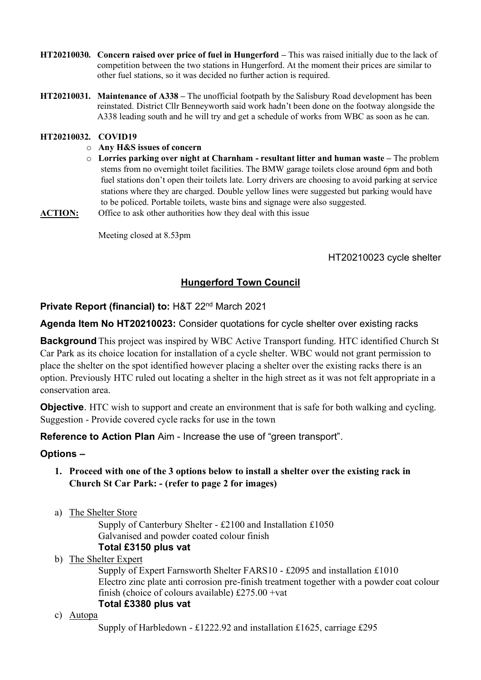- **HT20210030. Concern raised over price of fuel in Hungerford –** This was raised initially due to the lack of competition between the two stations in Hungerford. At the moment their prices are similar to other fuel stations, so it was decided no further action is required.
- **HT20210031. Maintenance of A338 –** The unofficial footpath by the Salisbury Road development has been reinstated. District Cllr Benneyworth said work hadn't been done on the footway alongside the A338 leading south and he will try and get a schedule of works from WBC as soon as he can.

#### **HT20210032. COVID19**

- o **Any H&S issues of concern**
- o **Lorries parking over night at Charnham - resultant litter and human waste –** The problem stems from no overnight toilet facilities. The BMW garage toilets close around 6pm and both fuel stations don't open their toilets late. Lorry drivers are choosing to avoid parking at service stations where they are charged. Double yellow lines were suggested but parking would have to be policed. Portable toilets, waste bins and signage were also suggested.
- **ACTION:** Office to ask other authorities how they deal with this issue

Meeting closed at 8.53pm

HT20210023 cycle shelter

# **Hungerford Town Council**

#### **Private Report (financial) to:** H&T 22nd March 2021

**Agenda Item No HT20210023:** Consider quotations for cycle shelter over existing racks

**Background** This project was inspired by WBC Active Transport funding. HTC identified Church St Car Park as its choice location for installation of a cycle shelter. WBC would not grant permission to place the shelter on the spot identified however placing a shelter over the existing racks there is an option. Previously HTC ruled out locating a shelter in the high street as it was not felt appropriate in a conservation area.

**Objective**. HTC wish to support and create an environment that is safe for both walking and cycling. Suggestion - Provide covered cycle racks for use in the town

**Reference to Action Plan** Aim - Increase the use of "green transport".

#### **Options –**

- **1. Proceed with one of the 3 options below to install a shelter over the existing rack in Church St Car Park: - (refer to page 2 for images)**
- a) The Shelter Store

Supply of Canterbury Shelter - £2100 and Installation £1050 Galvanised and powder coated colour finish **Total £3150 plus vat**

b) The Shelter Expert

Supply of Expert Farnsworth Shelter FARS10 - £2095 and installation £1010 Electro zinc plate anti corrosion pre-finish treatment together with a powder coat colour finish (choice of colours available) £275.00 +vat **Total £3380 plus vat**

c) Autopa

Supply of Harbledown - £1222.92 and installation £1625, carriage £295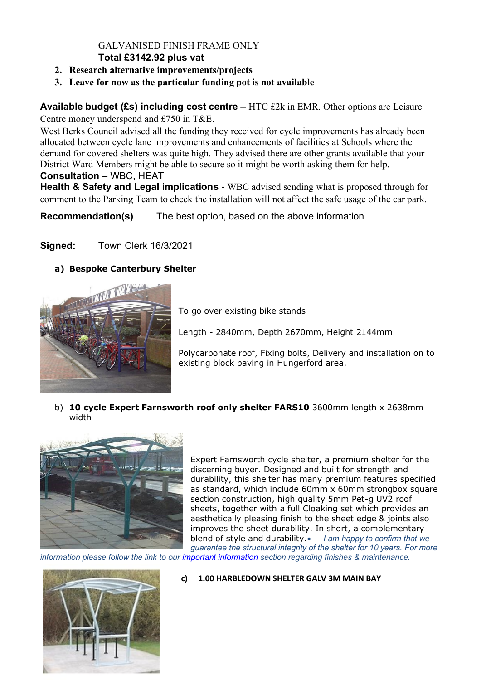## GALVANISED FINISH FRAME ONLY **Total £3142.92 plus vat**

- **2. Research alternative improvements/projects**
- **3. Leave for now as the particular funding pot is not available**

**Available budget (£s) including cost centre –** HTC £2k in EMR. Other options are Leisure Centre money underspend and £750 in T&E.

West Berks Council advised all the funding they received for cycle improvements has already been allocated between cycle lane improvements and enhancements of facilities at Schools where the demand for covered shelters was quite high. They advised there are other grants available that your District Ward Members might be able to secure so it might be worth asking them for help.

#### **Consultation –** WBC, HEAT

**Health & Safety and Legal implications -** WBC advised sending what is proposed through for comment to the Parking Team to check the installation will not affect the safe usage of the car park.

**Recommendation(s)** The best option, based on the above information

## **Signed:** Town Clerk 16/3/2021

## **a) Bespoke Canterbury Shelter**



To go over existing bike stands

Length - 2840mm, Depth 2670mm, Height 2144mm

Polycarbonate roof, Fixing bolts, Delivery and installation on to existing block paving in Hungerford area.

b) **10 cycle Expert Farnsworth roof only shelter FARS10** 3600mm length x 2638mm width



Expert Farnsworth cycle shelter, a premium shelter for the discerning buyer. Designed and built for strength and durability, this shelter has many premium features specified as standard, which include 60mm x 60mm strongbox square section construction, high quality 5mm Pet-g UV2 roof sheets, together with a full Cloaking set which provides an aesthetically pleasing finish to the sheet edge & joints also improves the sheet durability. In short, a complementary blend of style and durability.• *I am happy to confirm that we guarantee the structural integrity of the shelter for 10 years. For more* 

*information please follow the link to our [important information](http://www.theshelterexpert.co.uk/customer-information) section regarding finishes & maintenance.*



#### **c) 1.00 HARBLEDOWN SHELTER GALV 3M MAIN BAY**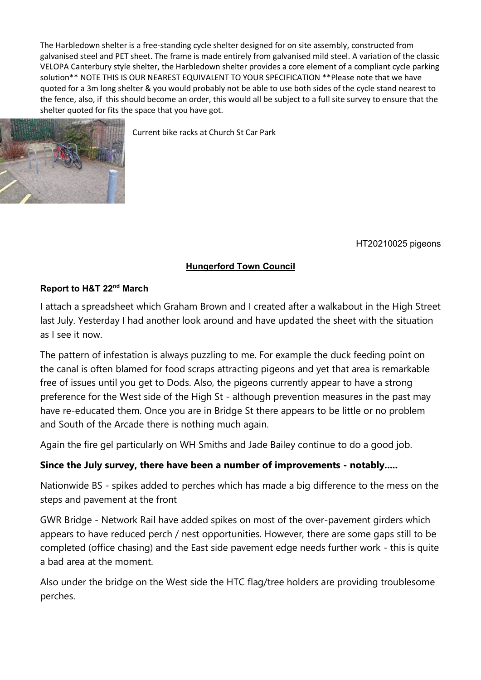The Harbledown shelter is a free-standing cycle shelter designed for on site assembly, constructed from galvanised steel and PET sheet. The frame is made entirely from galvanised mild steel. A variation of the classic VELOPA Canterbury style shelter, the Harbledown shelter provides a core element of a compliant cycle parking solution\*\* NOTE THIS IS OUR NEAREST EQUIVALENT TO YOUR SPECIFICATION \*\*Please note that we have quoted for a 3m long shelter & you would probably not be able to use both sides of the cycle stand nearest to the fence, also, if this should become an order, this would all be subject to a full site survey to ensure that the shelter quoted for fits the space that you have got.



Current bike racks at Church St Car Park

HT20210025 pigeons

#### **Hungerford Town Council**

#### **Report to H&T 22nd March**

I attach a spreadsheet which Graham Brown and I created after a walkabout in the High Street last July. Yesterday I had another look around and have updated the sheet with the situation as I see it now.

The pattern of infestation is always puzzling to me. For example the duck feeding point on the canal is often blamed for food scraps attracting pigeons and yet that area is remarkable free of issues until you get to Dods. Also, the pigeons currently appear to have a strong preference for the West side of the High St - although prevention measures in the past may have re-educated them. Once you are in Bridge St there appears to be little or no problem and South of the Arcade there is nothing much again.

Again the fire gel particularly on WH Smiths and Jade Bailey continue to do a good job.

## **Since the July survey, there have been a number of improvements - notably.....**

Nationwide BS - spikes added to perches which has made a big difference to the mess on the steps and pavement at the front

GWR Bridge - Network Rail have added spikes on most of the over-pavement girders which appears to have reduced perch / nest opportunities. However, there are some gaps still to be completed (office chasing) and the East side pavement edge needs further work - this is quite a bad area at the moment.

Also under the bridge on the West side the HTC flag/tree holders are providing troublesome perches.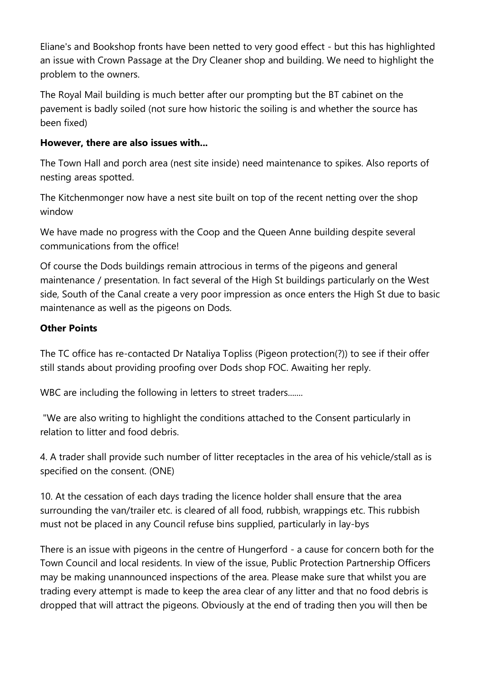Eliane's and Bookshop fronts have been netted to very good effect - but this has highlighted an issue with Crown Passage at the Dry Cleaner shop and building. We need to highlight the problem to the owners.

The Royal Mail building is much better after our prompting but the BT cabinet on the pavement is badly soiled (not sure how historic the soiling is and whether the source has been fixed)

## **However, there are also issues with...**

The Town Hall and porch area (nest site inside) need maintenance to spikes. Also reports of nesting areas spotted.

The Kitchenmonger now have a nest site built on top of the recent netting over the shop window

We have made no progress with the Coop and the Queen Anne building despite several communications from the office!

Of course the Dods buildings remain attrocious in terms of the pigeons and general maintenance / presentation. In fact several of the High St buildings particularly on the West side, South of the Canal create a very poor impression as once enters the High St due to basic maintenance as well as the pigeons on Dods.

## **Other Points**

The TC office has re-contacted Dr Nataliya Topliss (Pigeon protection(?)) to see if their offer still stands about providing proofing over Dods shop FOC. Awaiting her reply.

WBC are including the following in letters to street traders.......

"We are also writing to highlight the conditions attached to the Consent particularly in relation to litter and food debris.

4. A trader shall provide such number of litter receptacles in the area of his vehicle/stall as is specified on the consent. (ONE)

10. At the cessation of each days trading the licence holder shall ensure that the area surrounding the van/trailer etc. is cleared of all food, rubbish, wrappings etc. This rubbish must not be placed in any Council refuse bins supplied, particularly in lay-bys

There is an issue with pigeons in the centre of Hungerford - a cause for concern both for the Town Council and local residents. In view of the issue, Public Protection Partnership Officers may be making unannounced inspections of the area. Please make sure that whilst you are trading every attempt is made to keep the area clear of any litter and that no food debris is dropped that will attract the pigeons. Obviously at the end of trading then you will then be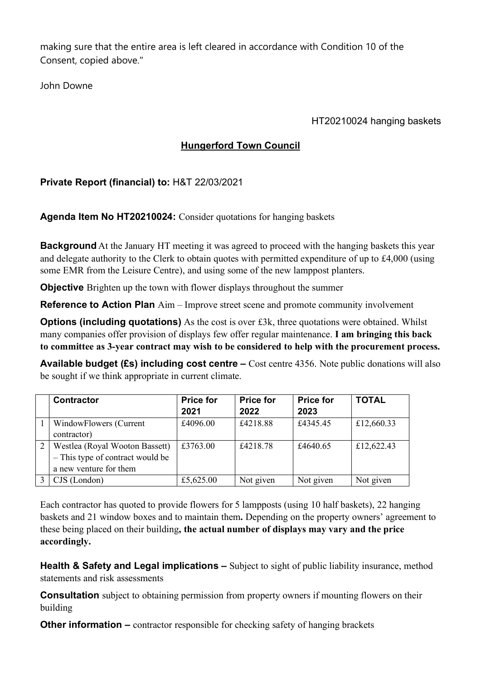making sure that the entire area is left cleared in accordance with Condition 10 of the Consent, copied above."

John Downe

## HT20210024 hanging baskets

## **Hungerford Town Council**

**Private Report (financial) to:** H&T 22/03/2021

**Agenda Item No HT20210024:** Consider quotations for hanging baskets

**Background** At the January HT meeting it was agreed to proceed with the hanging baskets this year and delegate authority to the Clerk to obtain quotes with permitted expenditure of up to £4,000 (using some EMR from the Leisure Centre), and using some of the new lamppost planters.

**Objective** Brighten up the town with flower displays throughout the summer

**Reference to Action Plan** Aim – Improve street scene and promote community involvement

**Options (including quotations)** As the cost is over £3k, three quotations were obtained. Whilst many companies offer provision of displays few offer regular maintenance. **I am bringing this back to committee as 3-year contract may wish to be considered to help with the procurement process.**

**Available budget (£s) including cost centre –** Cost centre 4356. Note public donations will also be sought if we think appropriate in current climate.

| <b>Contractor</b>                | <b>Price for</b><br>2021 | <b>Price for</b><br>2022 | <b>Price for</b><br>2023 | <b>TOTAL</b> |
|----------------------------------|--------------------------|--------------------------|--------------------------|--------------|
| WindowFlowers (Current           | £4096.00                 | £4218.88                 | £4345.45                 | £12,660.33   |
| contractor)                      |                          |                          |                          |              |
| Westlea (Royal Wooton Bassett)   | £3763.00                 | £4218.78                 | £4640.65                 | £12,622.43   |
| - This type of contract would be |                          |                          |                          |              |
| a new venture for them           |                          |                          |                          |              |
| CJS (London)                     | £5,625.00                | Not given                | Not given                | Not given    |

Each contractor has quoted to provide flowers for 5 lampposts (using 10 half baskets), 22 hanging baskets and 21 window boxes and to maintain them**.** Depending on the property owners' agreement to these being placed on their building**, the actual number of displays may vary and the price accordingly.**

**Health & Safety and Legal implications –** Subject to sight of public liability insurance, method statements and risk assessments

**Consultation** subject to obtaining permission from property owners if mounting flowers on their building

**Other information –** contractor responsible for checking safety of hanging brackets